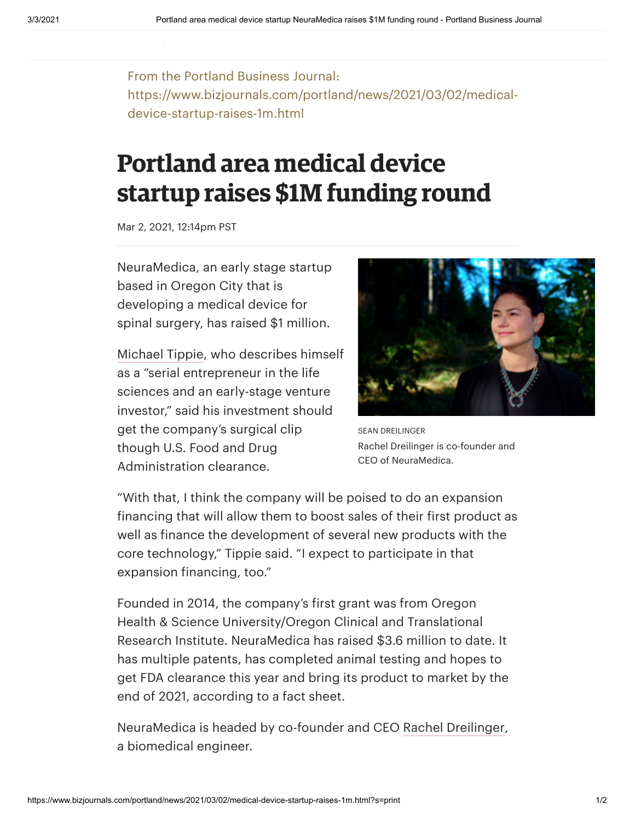From the Portland Business Journal: https://www.bizjournals.com/portland/news/2021/03/02/medicaldevice-startup-raises-1m.html

**FOR THE EXCLUSIVE USE OF** MARTIAD@OHSU.EDU

## **Portland area medical device startup raises \$1M funding round**

Mar 2, 2021, 12:14pm PST

NeuraMedica, an early stage startup based in Oregon City that is developing a medical device for spinal surgery, has raised \$1 million.

[Michael](https://www.bizjournals.com/portland/search/results?q=Michael%20Tippie) Tippie, who describes himself as a "serial entrepreneur in the life sciences and an early-stage venture investor," said his investment should get the company's surgical clip though U.S. Food and Drug Administration clearance.



SEAN DREILINGER Rachel Dreilinger is co-founder and CEO of NeuraMedica.

"With that, I think the company will be poised to do an expansion financing that will allow them to boost sales of their first product as well as finance the development of several new products with the core technology," Tippie said. "I expect to participate in that expansion financing, too."

Founded in 2014, the company's first grant was from Oregon Health & Science University/Oregon Clinical and Translational Research Institute. NeuraMedica has raised \$3.6 million to date. It has multiple patents, has completed animal testing and hopes to get FDA clearance this year and bring its product to market by the end of 2021, according to a fact sheet.

NeuraMedica is headed by co-founder and CEO Rachel [Dreilinger,](https://www.bizjournals.com/portland/search/results?q=Rachel%20Dreilinger) a biomedical engineer.